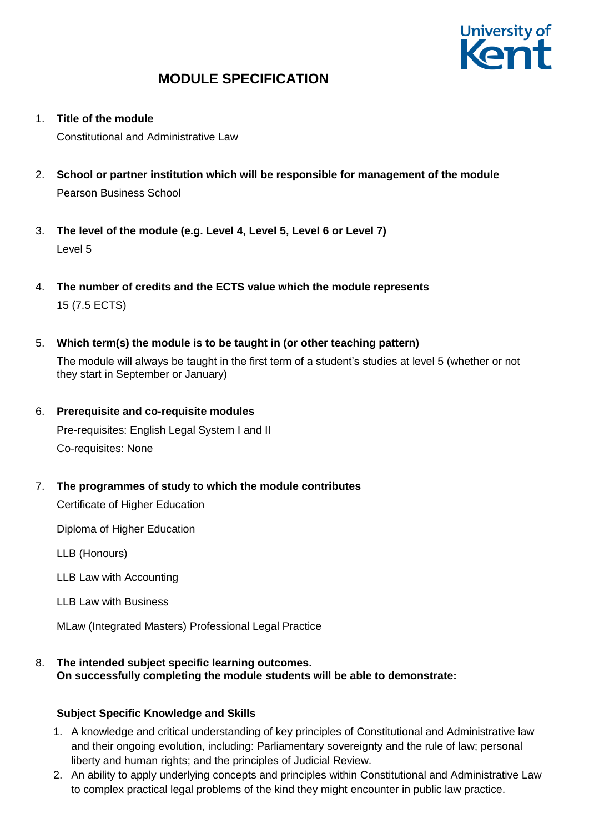

1. **Title of the module**

Constitutional and Administrative Law

- 2. **School or partner institution which will be responsible for management of the module** Pearson Business School
- 3. **The level of the module (e.g. Level 4, Level 5, Level 6 or Level 7)** Level 5
- 4. **The number of credits and the ECTS value which the module represents**  15 (7.5 ECTS)
- 5. **Which term(s) the module is to be taught in (or other teaching pattern)**

The module will always be taught in the first term of a student's studies at level 5 (whether or not they start in September or January)

- 6. **Prerequisite and co-requisite modules** Pre-requisites: English Legal System I and II Co-requisites: None
- 7. **The programmes of study to which the module contributes**

Certificate of Higher Education

Diploma of Higher Education

LLB (Honours)

LLB Law with Accounting

LLB Law with Business

MLaw (Integrated Masters) Professional Legal Practice

8. **The intended subject specific learning outcomes. On successfully completing the module students will be able to demonstrate:**

### **Subject Specific Knowledge and Skills**

- 1. A knowledge and critical understanding of key principles of Constitutional and Administrative law and their ongoing evolution, including: Parliamentary sovereignty and the rule of law; personal liberty and human rights; and the principles of Judicial Review.
- 2. An ability to apply underlying concepts and principles within Constitutional and Administrative Law to complex practical legal problems of the kind they might encounter in public law practice.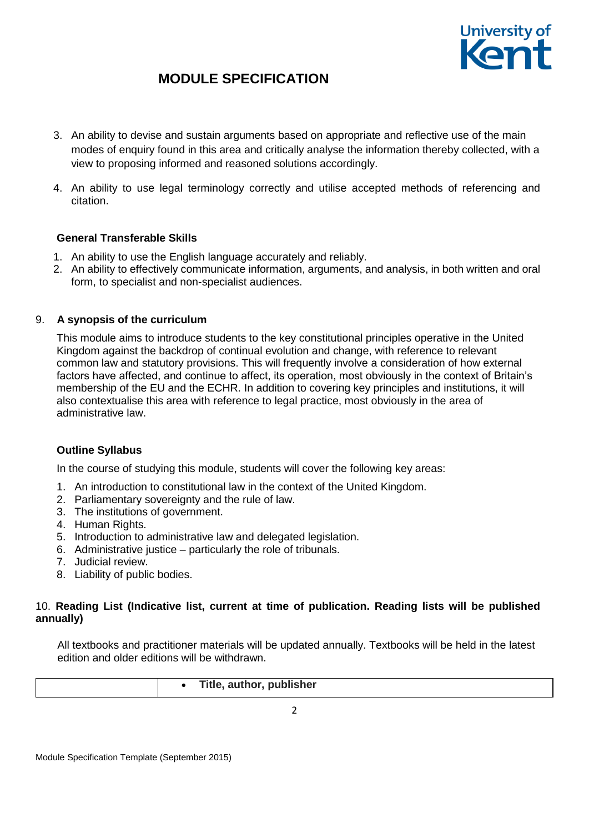

- 3. An ability to devise and sustain arguments based on appropriate and reflective use of the main modes of enquiry found in this area and critically analyse the information thereby collected, with a view to proposing informed and reasoned solutions accordingly.
- 4. An ability to use legal terminology correctly and utilise accepted methods of referencing and citation.

### **General Transferable Skills**

- 1. An ability to use the English language accurately and reliably.
- 2. An ability to effectively communicate information, arguments, and analysis, in both written and oral form, to specialist and non-specialist audiences.

## 9. **A synopsis of the curriculum**

This module aims to introduce students to the key constitutional principles operative in the United Kingdom against the backdrop of continual evolution and change, with reference to relevant common law and statutory provisions. This will frequently involve a consideration of how external factors have affected, and continue to affect, its operation, most obviously in the context of Britain's membership of the EU and the ECHR. In addition to covering key principles and institutions, it will also contextualise this area with reference to legal practice, most obviously in the area of administrative law.

### **Outline Syllabus**

In the course of studying this module, students will cover the following key areas:

- 1. An introduction to constitutional law in the context of the United Kingdom.
- 2. Parliamentary sovereignty and the rule of law.
- 3. The institutions of government.
- 4. Human Rights.
- 5. Introduction to administrative law and delegated legislation.
- 6. Administrative justice particularly the role of tribunals.
- 7. Judicial review.
- 8. Liability of public bodies.

## 10. **Reading List (Indicative list, current at time of publication. Reading lists will be published annually)**

All textbooks and practitioner materials will be updated annually. Textbooks will be held in the latest edition and older editions will be withdrawn.

|  | Title, author, publisher |
|--|--------------------------|
|  |                          |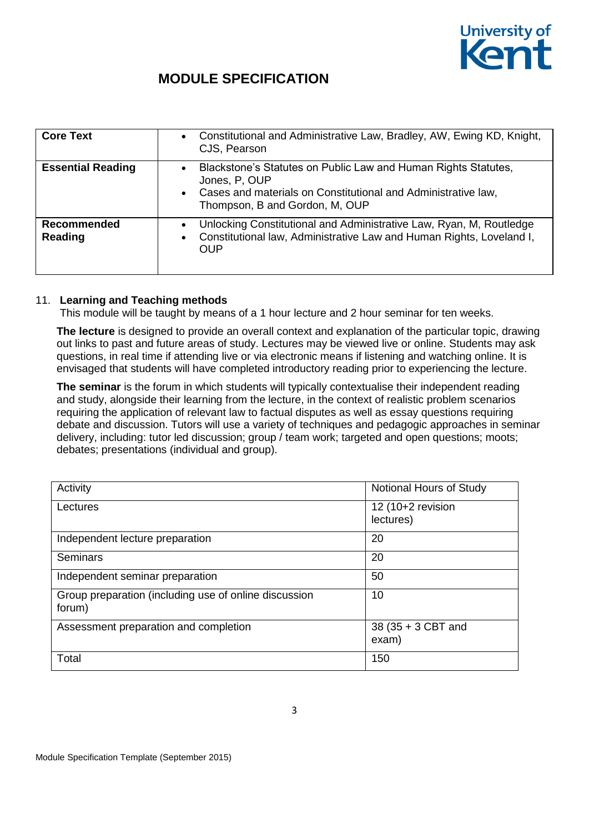

| <b>Core Text</b>         | Constitutional and Administrative Law, Bradley, AW, Ewing KD, Knight,<br>$\bullet$<br>CJS, Pearson                                                                                                           |
|--------------------------|--------------------------------------------------------------------------------------------------------------------------------------------------------------------------------------------------------------|
| <b>Essential Reading</b> | Blackstone's Statutes on Public Law and Human Rights Statutes,<br>$\bullet$<br>Jones, P, OUP<br>Cases and materials on Constitutional and Administrative law,<br>$\bullet$<br>Thompson, B and Gordon, M, OUP |
| Recommended<br>Reading   | Unlocking Constitutional and Administrative Law, Ryan, M, Routledge<br>$\bullet$<br>Constitutional law, Administrative Law and Human Rights, Loveland I,<br>$\bullet$<br><b>OUP</b>                          |

#### 11. **Learning and Teaching methods**

This module will be taught by means of a 1 hour lecture and 2 hour seminar for ten weeks.

**The lecture** is designed to provide an overall context and explanation of the particular topic, drawing out links to past and future areas of study. Lectures may be viewed live or online. Students may ask questions, in real time if attending live or via electronic means if listening and watching online. It is envisaged that students will have completed introductory reading prior to experiencing the lecture.

**The seminar** is the forum in which students will typically contextualise their independent reading and study, alongside their learning from the lecture, in the context of realistic problem scenarios requiring the application of relevant law to factual disputes as well as essay questions requiring debate and discussion. Tutors will use a variety of techniques and pedagogic approaches in seminar delivery, including: tutor led discussion; group / team work; targeted and open questions; moots; debates; presentations (individual and group).

| Activity                                                        | Notional Hours of Study        |
|-----------------------------------------------------------------|--------------------------------|
| Lectures                                                        | 12 (10+2 revision<br>lectures) |
| Independent lecture preparation                                 | 20                             |
| <b>Seminars</b>                                                 | 20                             |
| Independent seminar preparation                                 | 50                             |
| Group preparation (including use of online discussion<br>forum) | 10                             |
| Assessment preparation and completion                           | 38 (35 + 3 CBT and<br>exam)    |
| Total                                                           | 150                            |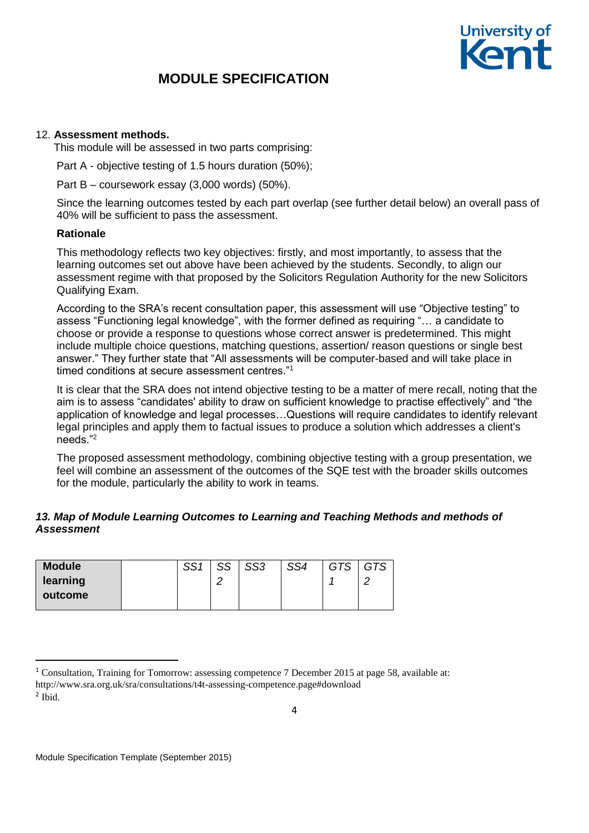

### 12. **Assessment methods.**

This module will be assessed in two parts comprising:

Part A - objective testing of 1.5 hours duration (50%);

Part B – coursework essay (3,000 words) (50%).

Since the learning outcomes tested by each part overlap (see further detail below) an overall pass of 40% will be sufficient to pass the assessment.

#### **Rationale**

This methodology reflects two key objectives: firstly, and most importantly, to assess that the learning outcomes set out above have been achieved by the students. Secondly, to align our assessment regime with that proposed by the Solicitors Regulation Authority for the new Solicitors Qualifying Exam.

According to the SRA's recent consultation paper, this assessment will use "Objective testing" to assess "Functioning legal knowledge", with the former defined as requiring "… a candidate to choose or provide a response to questions whose correct answer is predetermined. This might include multiple choice questions, matching questions, assertion/ reason questions or single best answer." They further state that "All assessments will be computer-based and will take place in timed conditions at secure assessment centres."<sup>1</sup>

It is clear that the SRA does not intend objective testing to be a matter of mere recall, noting that the aim is to assess "candidates' ability to draw on sufficient knowledge to practise effectively" and "the application of knowledge and legal processes…Questions will require candidates to identify relevant legal principles and apply them to factual issues to produce a solution which addresses a client's needs."<sup>2</sup>

The proposed assessment methodology, combining objective testing with a group presentation, we feel will combine an assessment of the outcomes of the SQE test with the broader skills outcomes for the module, particularly the ability to work in teams.

## *13. Map of Module Learning Outcomes to Learning and Teaching Methods and methods of Assessment*

| <b>Module</b> | CC <sub>4</sub> | CC. | SS3 | SS4 | <b>GTS</b> | <b>GTS</b> |
|---------------|-----------------|-----|-----|-----|------------|------------|
| learning      |                 | ⌒   |     |     |            |            |
| outcome       |                 |     |     |     |            |            |
|               |                 |     |     |     |            |            |

1

<sup>1</sup> Consultation, Training for Tomorrow: assessing competence 7 December 2015 at page 58, available at: http://www.sra.org.uk/sra/consultations/t4t-assessing-competence.page#download 2 Ibid.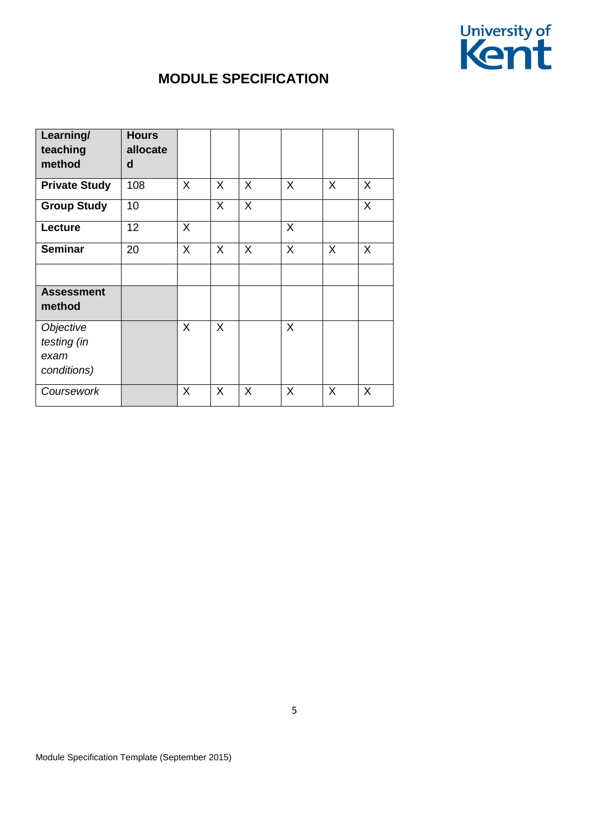

| Learning/<br>teaching<br>method                 | <b>Hours</b><br>allocate<br>d |              |         |         |         |   |         |
|-------------------------------------------------|-------------------------------|--------------|---------|---------|---------|---|---------|
| <b>Private Study</b>                            | 108                           | $\mathsf{X}$ | $\sf X$ | $\sf X$ | $\sf X$ | X | X       |
| <b>Group Study</b>                              | 10                            |              | X       | $\sf X$ |         |   | $\sf X$ |
| Lecture                                         | 12                            | X            |         |         | X       |   |         |
| <b>Seminar</b>                                  | 20                            | X.           | X       | X       | X       | X | X       |
|                                                 |                               |              |         |         |         |   |         |
| <b>Assessment</b><br>method                     |                               |              |         |         |         |   |         |
| Objective<br>testing (in<br>exam<br>conditions) |                               | X            | X       |         | $\sf X$ |   |         |
| Coursework                                      |                               | X            | X       | X       | X       | X | X       |